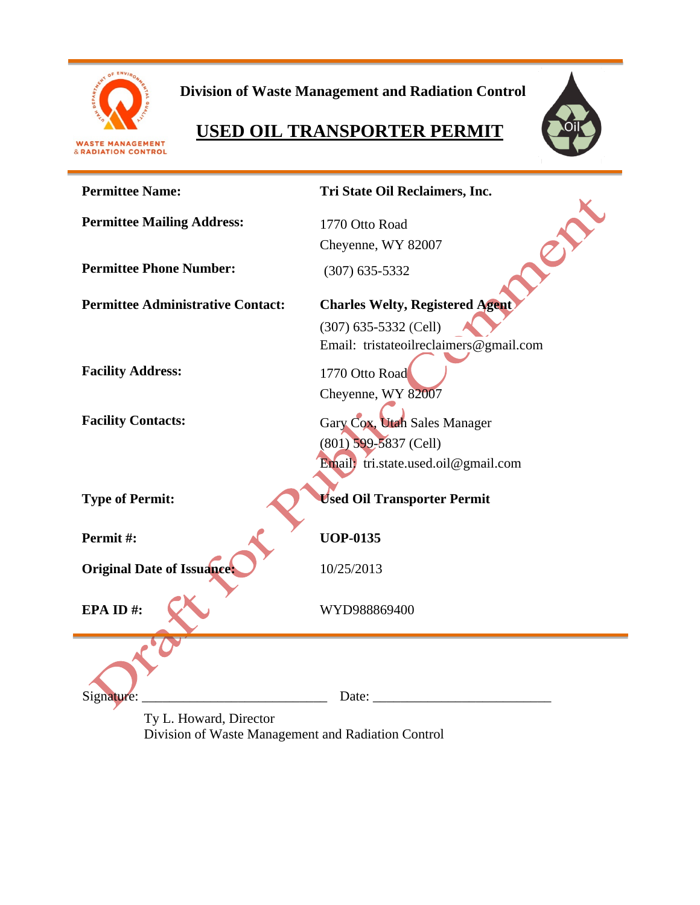

**Division of Waste Management and Radiation Control**

# **USED OIL TRANSPORTER PERMIT**



| <b>Permittee Name:</b>                                                                                                             | Tri State Oil Reclaimers, Inc.                                                                 |  |  |
|------------------------------------------------------------------------------------------------------------------------------------|------------------------------------------------------------------------------------------------|--|--|
| <b>Permittee Mailing Address:</b>                                                                                                  | 1770 Otto Road<br>Cheyenne, WY 82007                                                           |  |  |
| <b>Permittee Phone Number:</b>                                                                                                     | $(307)$ 635-5332                                                                               |  |  |
| <b>Permittee Administrative Contact:</b>                                                                                           | <b>Charles Welty, Registered Agent</b>                                                         |  |  |
|                                                                                                                                    | $(307)$ 635-5332 (Cell)<br>Email: tristateoilreclaimers@gmail.com                              |  |  |
| <b>Facility Address:</b>                                                                                                           | 1770 Otto Road<br>Cheyenne, WY 82007                                                           |  |  |
| <b>Facility Contacts:</b>                                                                                                          | Gary Cox, Utah Sales Manager<br>$(801)$ 599-5837 (Cell)<br>Email; tri.state.used.oil@gmail.com |  |  |
| <b>Type of Permit:</b>                                                                                                             | <b>Used Oil Transporter Permit</b>                                                             |  |  |
| Permit#:                                                                                                                           | <b>UOP-0135</b>                                                                                |  |  |
| <b>Original Date of Issuance:</b>                                                                                                  | 10/25/2013                                                                                     |  |  |
| EPA ID#:                                                                                                                           | WYD988869400                                                                                   |  |  |
| Signature:<br>$\mathbf{r}$ $\mathbf{r}$ $\mathbf{r}$ $\mathbf{r}$ $\mathbf{r}$ $\mathbf{r}$ $\mathbf{r}$ $\mathbf{r}$ $\mathbf{r}$ | Date:                                                                                          |  |  |

Ty L. Howard, Director Division of Waste Management and Radiation Control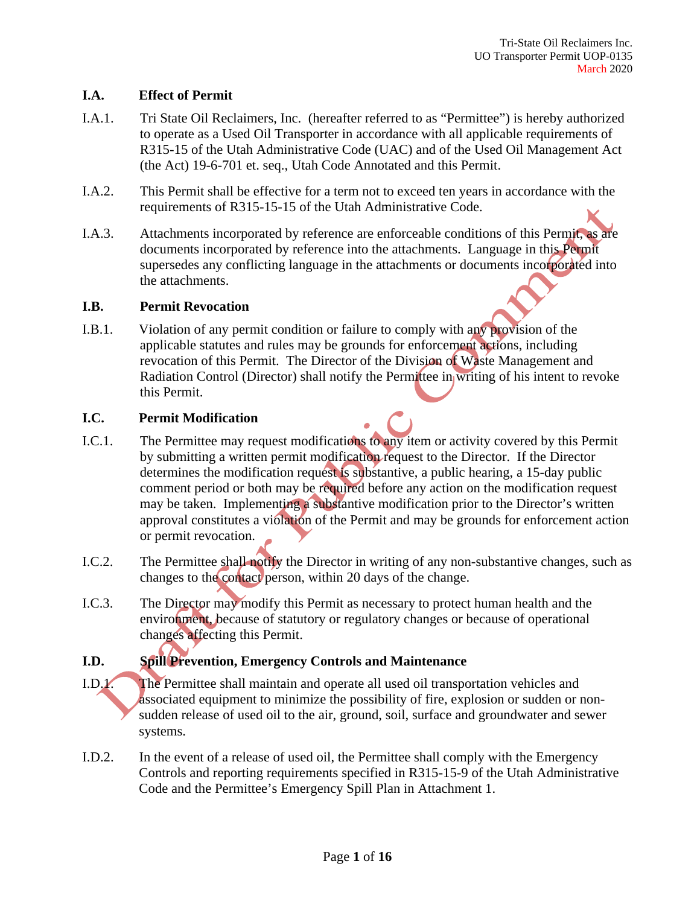#### **I.A. Effect of Permit**

- I.A.1. Tri State Oil Reclaimers, Inc. (hereafter referred to as "Permittee") is hereby authorized to operate as a Used Oil Transporter in accordance with all applicable requirements of R315-15 of the Utah Administrative Code (UAC) and of the Used Oil Management Act (the Act) 19-6-701 et. seq., Utah Code Annotated and this Permit.
- I.A.2. This Permit shall be effective for a term not to exceed ten years in accordance with the requirements of R315-15-15 of the Utah Administrative Code.
- I.A.3. Attachments incorporated by reference are enforceable conditions of this Permit, as are documents incorporated by reference into the attachments. Language in this Permit supersedes any conflicting language in the attachments or documents incorporated into the attachments.

#### **I.B. Permit Revocation**

I.B.1. Violation of any permit condition or failure to comply with any provision of the applicable statutes and rules may be grounds for enforcement actions, including revocation of this Permit. The Director of the Division of Waste Management and Radiation Control (Director) shall notify the Permittee in writing of his intent to revoke this Permit.

# **I.C. Permit Modification**

- I.C.1. The Permittee may request modifications to any item or activity covered by this Permit by submitting a written permit modification request to the Director. If the Director determines the modification request is substantive, a public hearing, a 15-day public comment period or both may be required before any action on the modification request may be taken. Implementing a substantive modification prior to the Director's written approval constitutes a violation of the Permit and may be grounds for enforcement action or permit revocation.
- I.C.2. The Permittee shall notify the Director in writing of any non-substantive changes, such as changes to the contact person, within 20 days of the change.
- I.C.3. The Director may modify this Permit as necessary to protect human health and the environment, because of statutory or regulatory changes or because of operational changes affecting this Permit.

# **I.D. Spill Prevention, Emergency Controls and Maintenance**

- I.D.1. The Permittee shall maintain and operate all used oil transportation vehicles and associated equipment to minimize the possibility of fire, explosion or sudden or nonsudden release of used oil to the air, ground, soil, surface and groundwater and sewer systems.
- I.D.2. In the event of a release of used oil, the Permittee shall comply with the Emergency Controls and reporting requirements specified in R315-15-9 of the Utah Administrative Code and the Permittee's Emergency Spill Plan in Attachment 1.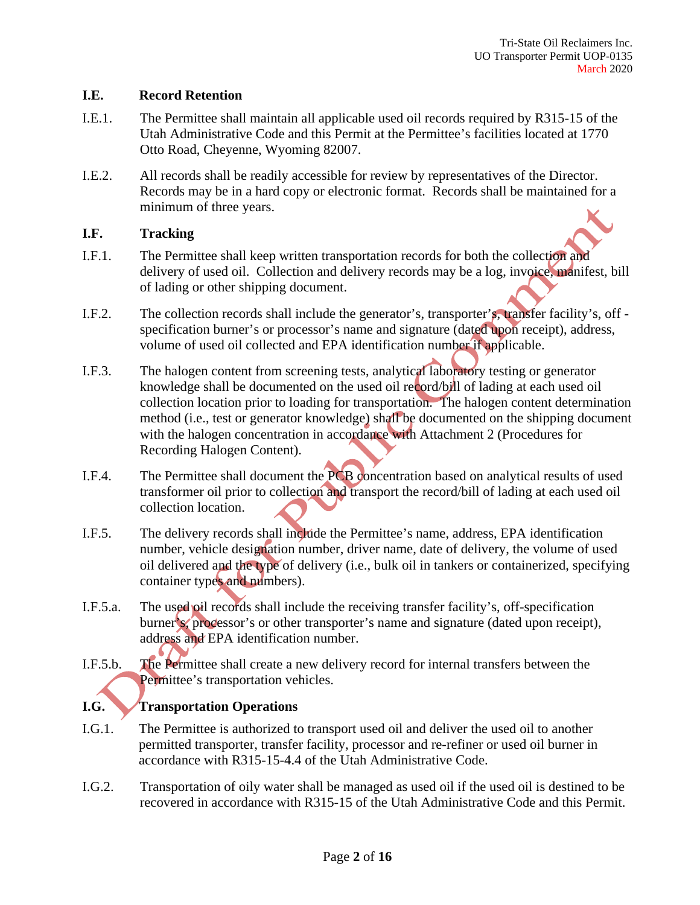#### **I.E. Record Retention**

- I.E.1. The Permittee shall maintain all applicable used oil records required by R315-15 of the Utah Administrative Code and this Permit at the Permittee's facilities located at 1770 Otto Road, Cheyenne, Wyoming 82007.
- I.E.2. All records shall be readily accessible for review by representatives of the Director. Records may be in a hard copy or electronic format. Records shall be maintained for a minimum of three years.

# **I.F. Tracking**

- I.F.1. The Permittee shall keep written transportation records for both the collection and delivery of used oil. Collection and delivery records may be a log, invoice, manifest, bill of lading or other shipping document.
- I.F.2. The collection records shall include the generator's, transporter's, transfer facility's, off specification burner's or processor's name and signature (dated upon receipt), address, volume of used oil collected and EPA identification number if applicable.
- I.F.3. The halogen content from screening tests, analytical laboratory testing or generator knowledge shall be documented on the used oil record/bill of lading at each used oil collection location prior to loading for transportation. The halogen content determination method (i.e., test or generator knowledge) shall be documented on the shipping document with the halogen concentration in accordance with Attachment 2 (Procedures for Recording Halogen Content).
- I.F.4. The Permittee shall document the PCB concentration based on analytical results of used transformer oil prior to collection and transport the record/bill of lading at each used oil collection location.
- I.F.5. The delivery records shall include the Permittee's name, address, EPA identification number, vehicle designation number, driver name, date of delivery, the volume of used oil delivered and the type of delivery (i.e., bulk oil in tankers or containerized, specifying container types and numbers).
- I.F.5.a. The used oil records shall include the receiving transfer facility's, off-specification burner's, processor's or other transporter's name and signature (dated upon receipt), address and EPA identification number.
- I.F.5.b. The Permittee shall create a new delivery record for internal transfers between the Permittee's transportation vehicles.

# **I.G. Transportation Operations**

- I.G.1. The Permittee is authorized to transport used oil and deliver the used oil to another permitted transporter, transfer facility, processor and re-refiner or used oil burner in accordance with R315-15-4.4 of the Utah Administrative Code.
- I.G.2. Transportation of oily water shall be managed as used oil if the used oil is destined to be recovered in accordance with R315-15 of the Utah Administrative Code and this Permit.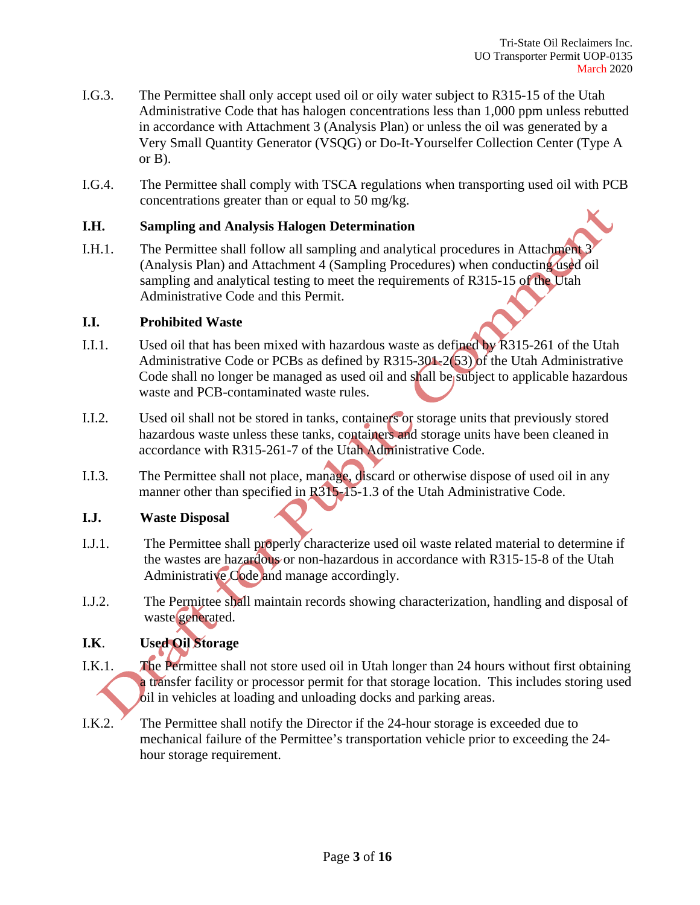- I.G.3. The Permittee shall only accept used oil or oily water subject to R315-15 of the Utah Administrative Code that has halogen concentrations less than 1,000 ppm unless rebutted in accordance with Attachment 3 (Analysis Plan) or unless the oil was generated by a Very Small Quantity Generator (VSQG) or Do-It-Yourselfer Collection Center (Type A or B).
- I.G.4. The Permittee shall comply with TSCA regulations when transporting used oil with PCB concentrations greater than or equal to 50 mg/kg.

#### **I.H. Sampling and Analysis Halogen Determination**

I.H.1. The Permittee shall follow all sampling and analytical procedures in Attachment 3 (Analysis Plan) and Attachment 4 (Sampling Procedures) when conducting used oil sampling and analytical testing to meet the requirements of R315-15 of the Utah Administrative Code and this Permit.

#### **I.I. Prohibited Waste**

- I.I.1. Used oil that has been mixed with hazardous waste as defined by R315-261 of the Utah Administrative Code or PCBs as defined by R315-301-2(53) of the Utah Administrative Code shall no longer be managed as used oil and shall be subject to applicable hazardous waste and PCB-contaminated waste rules.
- I.I.2. Used oil shall not be stored in tanks, containers or storage units that previously stored hazardous waste unless these tanks, containers and storage units have been cleaned in accordance with R315-261-7 of the Utah Administrative Code.
- I.I.3. The Permittee shall not place, manage, discard or otherwise dispose of used oil in any manner other than specified in R315-15-1.3 of the Utah Administrative Code.

# **I.J. Waste Disposal**

- I.J.1. The Permittee shall properly characterize used oil waste related material to determine if the wastes are hazardous or non-hazardous in accordance with R315-15-8 of the Utah Administrative Code and manage accordingly.
- I.J.2. The Permittee shall maintain records showing characterization, handling and disposal of waste generated.

# **I.K**. **Used Oil Storage**

- I.K.1. The Permittee shall not store used oil in Utah longer than 24 hours without first obtaining a transfer facility or processor permit for that storage location. This includes storing used oil in vehicles at loading and unloading docks and parking areas.
- I.K.2. The Permittee shall notify the Director if the 24-hour storage is exceeded due to mechanical failure of the Permittee's transportation vehicle prior to exceeding the 24 hour storage requirement.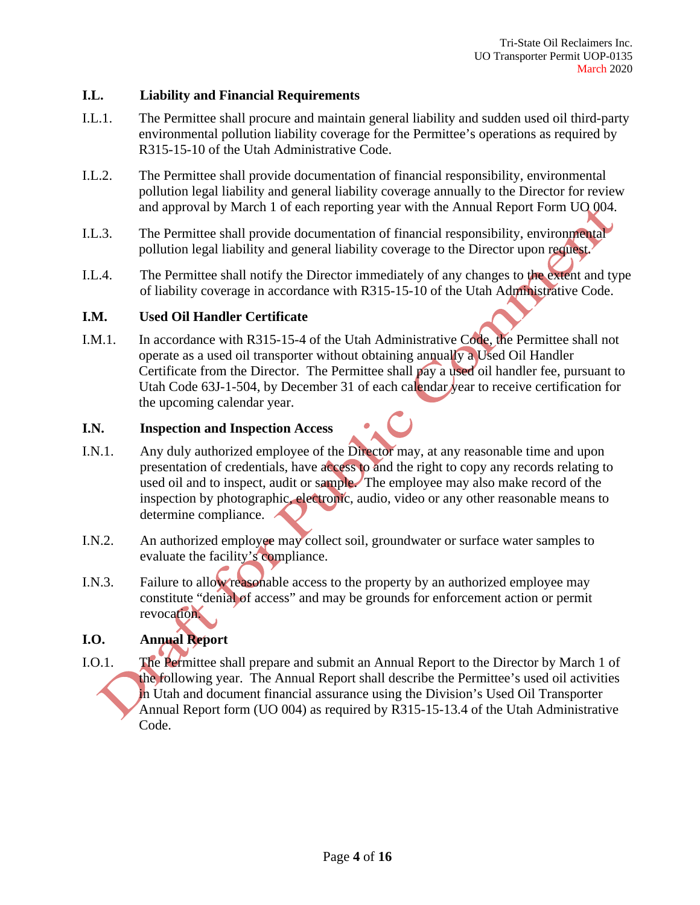#### **I.L. Liability and Financial Requirements**

- I.L.1. The Permittee shall procure and maintain general liability and sudden used oil third-party environmental pollution liability coverage for the Permittee's operations as required by R315-15-10 of the Utah Administrative Code.
- I.L.2. The Permittee shall provide documentation of financial responsibility, environmental pollution legal liability and general liability coverage annually to the Director for review and approval by March 1 of each reporting year with the Annual Report Form UO 004.
- I.L.3. The Permittee shall provide documentation of financial responsibility, environmental pollution legal liability and general liability coverage to the Director upon request.
- I.L.4. The Permittee shall notify the Director immediately of any changes to the extent and type of liability coverage in accordance with R315-15-10 of the Utah Administrative Code.

#### **I.M. Used Oil Handler Certificate**

I.M.1. In accordance with R315-15-4 of the Utah Administrative Code, the Permittee shall not operate as a used oil transporter without obtaining annually a Used Oil Handler Certificate from the Director. The Permittee shall pay a used oil handler fee, pursuant to Utah Code 63J-1-504, by December 31 of each calendar year to receive certification for the upcoming calendar year.

#### **I.N. Inspection and Inspection Access**

- I.N.1. Any duly authorized employee of the Director may, at any reasonable time and upon presentation of credentials, have access to and the right to copy any records relating to used oil and to inspect, audit or sample. The employee may also make record of the inspection by photographic, electronic, audio, video or any other reasonable means to determine compliance.
- I.N.2. An authorized employee may collect soil, groundwater or surface water samples to evaluate the facility's compliance.
- I.N.3. Failure to allow reasonable access to the property by an authorized employee may constitute "denial of access" and may be grounds for enforcement action or permit revocation.

# **I.O. Annual Report**

I.O.1. The Permittee shall prepare and submit an Annual Report to the Director by March 1 of the following year. The Annual Report shall describe the Permittee's used oil activities in Utah and document financial assurance using the Division's Used Oil Transporter Annual Report form (UO 004) as required by R315-15-13.4 of the Utah Administrative Code.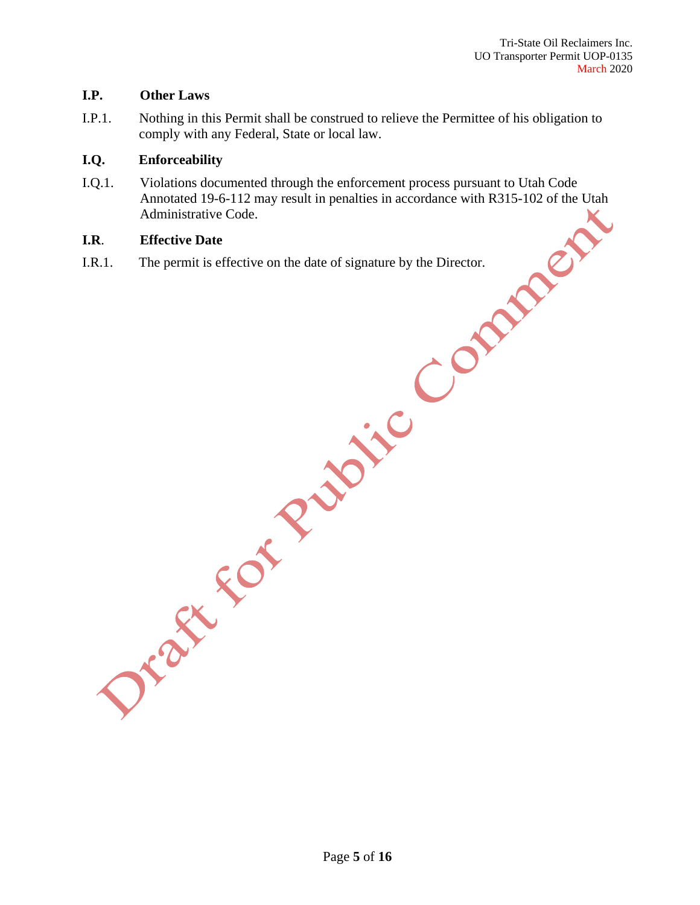#### **I.P. Other Laws**

I.P.1. Nothing in this Permit shall be construed to relieve the Permittee of his obligation to comply with any Federal, State or local law.

#### **I.Q. Enforceability**

I.Q.1. Violations documented through the enforcement process pursuant to Utah Code Annotated 19-6-112 may result in penalties in accordance with R315-102 of the Utah Administrative Code.

# **I.R**. **Effective Date**

I.R.1. The permit is effective on the date of signature by the Director.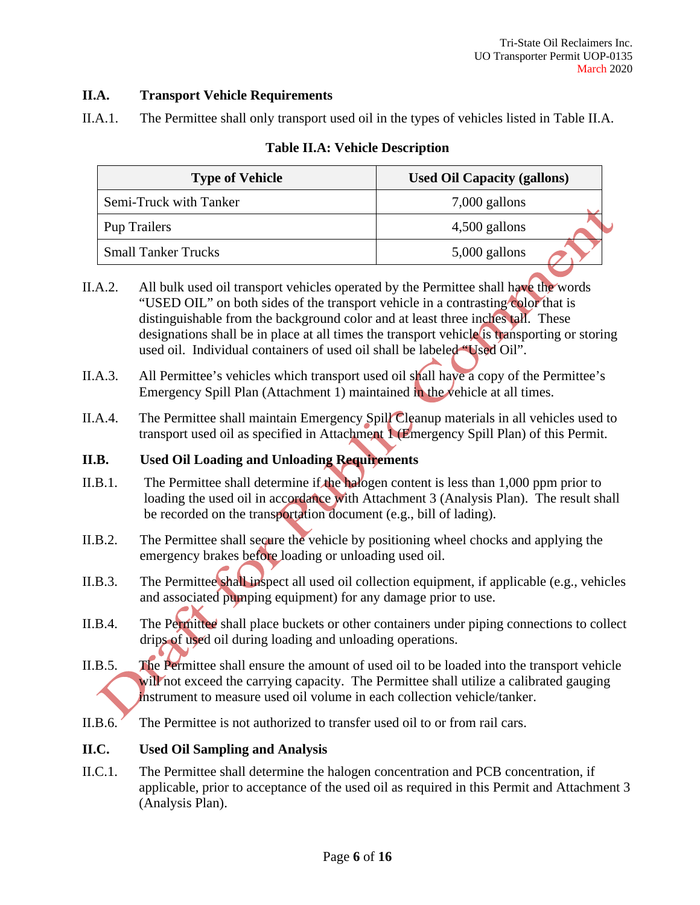# **II.A. Transport Vehicle Requirements**

II.A.1. The Permittee shall only transport used oil in the types of vehicles listed in Table II.A.

| <b>Type of Vehicle</b>     | <b>Used Oil Capacity (gallons)</b> |  |
|----------------------------|------------------------------------|--|
| Semi-Truck with Tanker     | $7,000$ gallons                    |  |
| Pup Trailers               | 4,500 gallons                      |  |
| <b>Small Tanker Trucks</b> | $5,000$ gallons                    |  |

# **Table II.A: Vehicle Description**

- II.A.2. All bulk used oil transport vehicles operated by the Permittee shall have the words "USED OIL" on both sides of the transport vehicle in a contrasting color that is distinguishable from the background color and at least three inches tall. These designations shall be in place at all times the transport vehicle is transporting or storing used oil. Individual containers of used oil shall be labeled "Used Oil".
- II.A.3. All Permittee's vehicles which transport used oil shall have a copy of the Permittee's Emergency Spill Plan (Attachment 1) maintained in the vehicle at all times.
- II.A.4. The Permittee shall maintain Emergency Spill Cleanup materials in all vehicles used to transport used oil as specified in Attachment 1 (Emergency Spill Plan) of this Permit.

# **II.B. Used Oil Loading and Unloading Requirements**

- II.B.1. The Permittee shall determine if the halogen content is less than 1,000 ppm prior to loading the used oil in accordance with Attachment 3 (Analysis Plan). The result shall be recorded on the transportation document (e.g., bill of lading).
- II.B.2. The Permittee shall secure the vehicle by positioning wheel chocks and applying the emergency brakes before loading or unloading used oil.
- II.B.3. The Permittee shall inspect all used oil collection equipment, if applicable (e.g., vehicles and associated pumping equipment) for any damage prior to use.
- II.B.4. The Permittee shall place buckets or other containers under piping connections to collect drips of used oil during loading and unloading operations.
- II.B.5. The Permittee shall ensure the amount of used oil to be loaded into the transport vehicle will not exceed the carrying capacity. The Permittee shall utilize a calibrated gauging instrument to measure used oil volume in each collection vehicle/tanker.
- II.B.6. The Permittee is not authorized to transfer used oil to or from rail cars.

# **II.C. Used Oil Sampling and Analysis**

II.C.1. The Permittee shall determine the halogen concentration and PCB concentration, if applicable, prior to acceptance of the used oil as required in this Permit and Attachment 3 (Analysis Plan).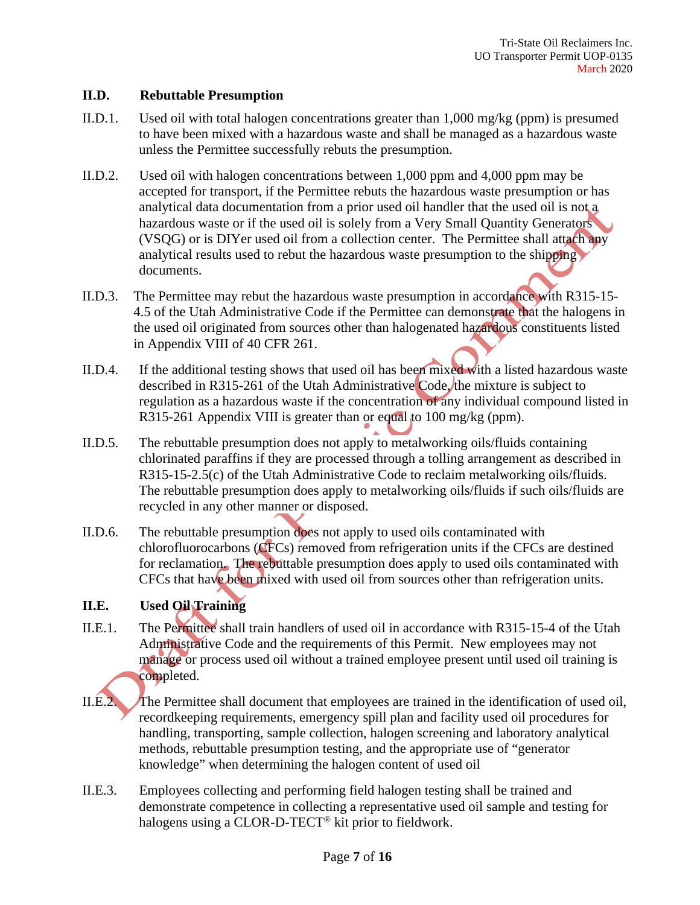#### **II.D. Rebuttable Presumption**

- II.D.1. Used oil with total halogen concentrations greater than 1,000 mg/kg (ppm) is presumed to have been mixed with a hazardous waste and shall be managed as a hazardous waste unless the Permittee successfully rebuts the presumption.
- II.D.2. Used oil with halogen concentrations between 1,000 ppm and 4,000 ppm may be accepted for transport, if the Permittee rebuts the hazardous waste presumption or has analytical data documentation from a prior used oil handler that the used oil is not a hazardous waste or if the used oil is solely from a Very Small Quantity Generators (VSQG) or is DIYer used oil from a collection center. The Permittee shall attach any analytical results used to rebut the hazardous waste presumption to the shipping documents.
- II.D.3. The Permittee may rebut the hazardous waste presumption in accordance with R315-15- 4.5 of the Utah Administrative Code if the Permittee can demonstrate that the halogens in the used oil originated from sources other than halogenated hazardous constituents listed in Appendix VIII of 40 CFR 261.
- II.D.4. If the additional testing shows that used oil has been mixed with a listed hazardous waste described in R315-261 of the Utah Administrative Code, the mixture is subject to regulation as a hazardous waste if the concentration of any individual compound listed in R315-261 Appendix VIII is greater than or equal to 100 mg/kg (ppm).
- II.D.5. The rebuttable presumption does not apply to metalworking oils/fluids containing chlorinated paraffins if they are processed through a tolling arrangement as described in R315-15-2.5(c) of the Utah Administrative Code to reclaim metalworking oils/fluids. The rebuttable presumption does apply to metalworking oils/fluids if such oils/fluids are recycled in any other manner or disposed.
- II.D.6. The rebuttable presumption does not apply to used oils contaminated with chlorofluorocarbons (CFCs) removed from refrigeration units if the CFCs are destined for reclamation. The rebuttable presumption does apply to used oils contaminated with CFCs that have been mixed with used oil from sources other than refrigeration units.

# **II.E. Used Oil Training**

- II.E.1. The Permittee shall train handlers of used oil in accordance with R315-15-4 of the Utah Administrative Code and the requirements of this Permit. New employees may not manage or process used oil without a trained employee present until used oil training is completed.
- II.E.2. The Permittee shall document that employees are trained in the identification of used oil, recordkeeping requirements, emergency spill plan and facility used oil procedures for handling, transporting, sample collection, halogen screening and laboratory analytical methods, rebuttable presumption testing, and the appropriate use of "generator knowledge" when determining the halogen content of used oil
- II.E.3. Employees collecting and performing field halogen testing shall be trained and demonstrate competence in collecting a representative used oil sample and testing for halogens using a CLOR-D-TECT® kit prior to fieldwork.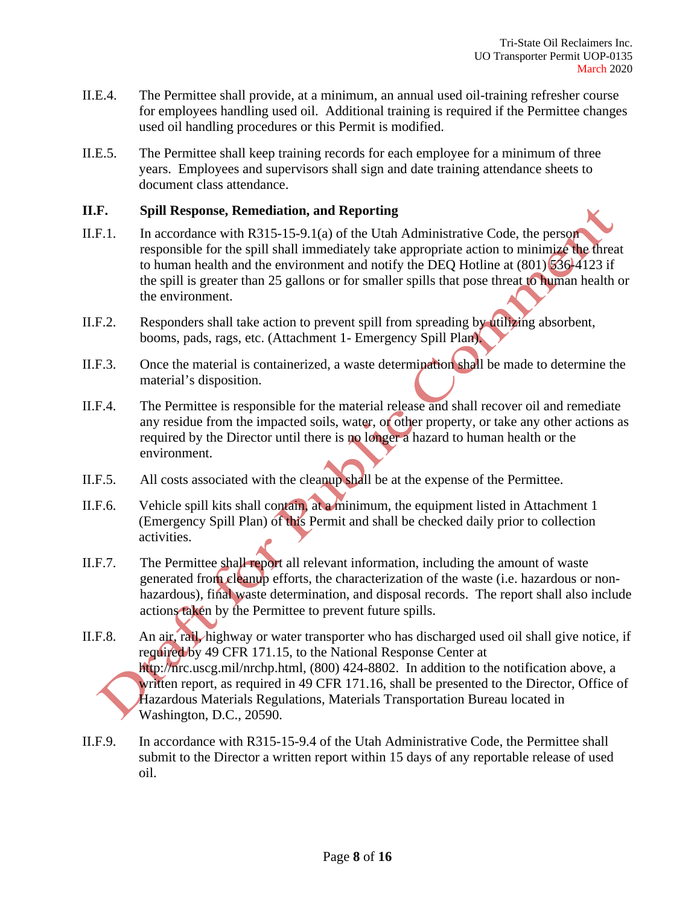- II.E.4. The Permittee shall provide, at a minimum, an annual used oil-training refresher course for employees handling used oil. Additional training is required if the Permittee changes used oil handling procedures or this Permit is modified.
- II.E.5. The Permittee shall keep training records for each employee for a minimum of three years. Employees and supervisors shall sign and date training attendance sheets to document class attendance.

#### **II.F. Spill Response, Remediation, and Reporting**

- II.F.1. In accordance with R315-15-9.1(a) of the Utah Administrative Code, the person responsible for the spill shall immediately take appropriate action to minimize the threat to human health and the environment and notify the DEO Hotline at  $(801)$  536-4123 if the spill is greater than 25 gallons or for smaller spills that pose threat to human health or the environment.
- II.F.2. Responders shall take action to prevent spill from spreading by utilizing absorbent, booms, pads, rags, etc. (Attachment 1- Emergency Spill Plan).
- II.F.3. Once the material is containerized, a waste determination shall be made to determine the material's disposition.
- II.F.4. The Permittee is responsible for the material release and shall recover oil and remediate any residue from the impacted soils, water, or other property, or take any other actions as required by the Director until there is no longer a hazard to human health or the environment.
- II.F.5. All costs associated with the cleanup shall be at the expense of the Permittee.
- II.F.6. Vehicle spill kits shall contain, at a minimum, the equipment listed in Attachment 1 (Emergency Spill Plan) of this Permit and shall be checked daily prior to collection activities.
- II.F.7. The Permittee shall report all relevant information, including the amount of waste generated from cleanup efforts, the characterization of the waste (i.e. hazardous or nonhazardous), final waste determination, and disposal records. The report shall also include actions taken by the Permittee to prevent future spills.
- II.F.8. An air, rail, highway or water transporter who has discharged used oil shall give notice, if required by 49 CFR 171.15, to the National Response Center at http://nrc.uscg.mil/nrchp.html, (800) 424-8802. In addition to the notification above, a written report, as required in 49 CFR 171.16, shall be presented to the Director, Office of Hazardous Materials Regulations, Materials Transportation Bureau located in Washington, D.C., 20590.
- II.F.9. In accordance with R315-15-9.4 of the Utah Administrative Code, the Permittee shall submit to the Director a written report within 15 days of any reportable release of used oil.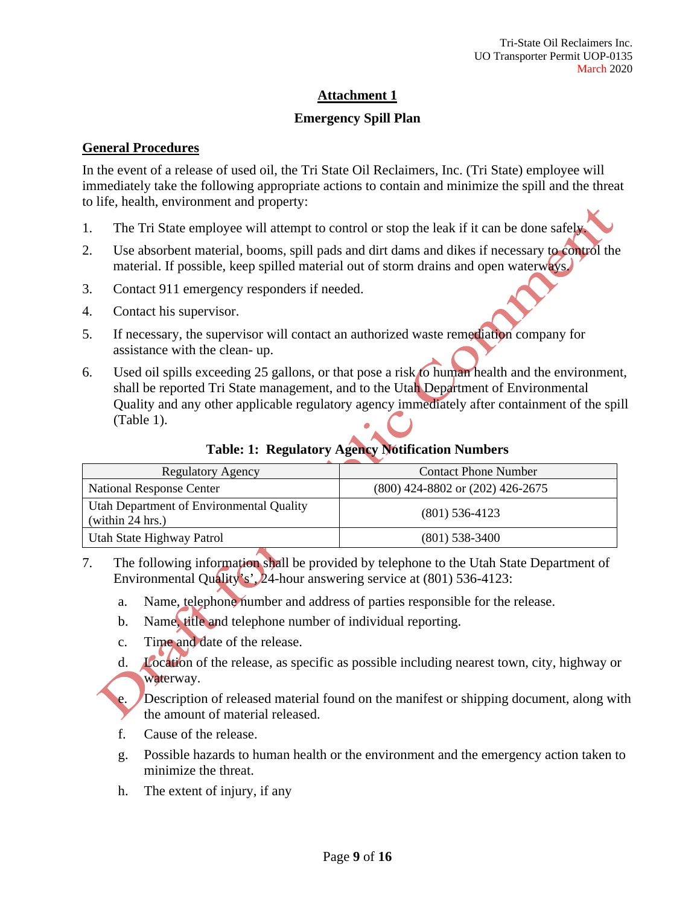# **Emergency Spill Plan**

#### **General Procedures**

In the event of a release of used oil, the Tri State Oil Reclaimers, Inc. (Tri State) employee will immediately take the following appropriate actions to contain and minimize the spill and the threat to life, health, environment and property:

- 1. The Tri State employee will attempt to control or stop the leak if it can be done safel
- 2. Use absorbent material, booms, spill pads and dirt dams and dikes if necessary to control the material. If possible, keep spilled material out of storm drains and open waterways.
- 3. Contact 911 emergency responders if needed.
- 4. Contact his supervisor.
- 5. If necessary, the supervisor will contact an authorized waste remediation company for assistance with the clean- up.
- 6. Used oil spills exceeding 25 gallons, or that pose a risk to human health and the environment, shall be reported Tri State management, and to the Utah Department of Environmental Quality and any other applicable regulatory agency immediately after containment of the spill (Table 1).

# **Table: 1: Regulatory Agency Notification Numbers**

| <b>Regulatory Agency</b>                                     | <b>Contact Phone Number</b>          |
|--------------------------------------------------------------|--------------------------------------|
| <b>National Response Center</b>                              | $(800)$ 424-8802 or $(202)$ 426-2675 |
| Utah Department of Environmental Quality<br>(within 24 hrs.) | $(801)$ 536-4123                     |
| Utah State Highway Patrol                                    | $(801)$ 538-3400                     |

- 7. The following information shall be provided by telephone to the Utah State Department of Environmental Quality's', 24-hour answering service at (801) 536-4123:
	- a. Name, telephone number and address of parties responsible for the release.
	- b. Name, title and telephone number of individual reporting.
	- c. Time and date of the release.
	- d. Location of the release, as specific as possible including nearest town, city, highway or waterway.

e. Description of released material found on the manifest or shipping document, along with the amount of material released.

- f. Cause of the release.
- g. Possible hazards to human health or the environment and the emergency action taken to minimize the threat.
- h. The extent of injury, if any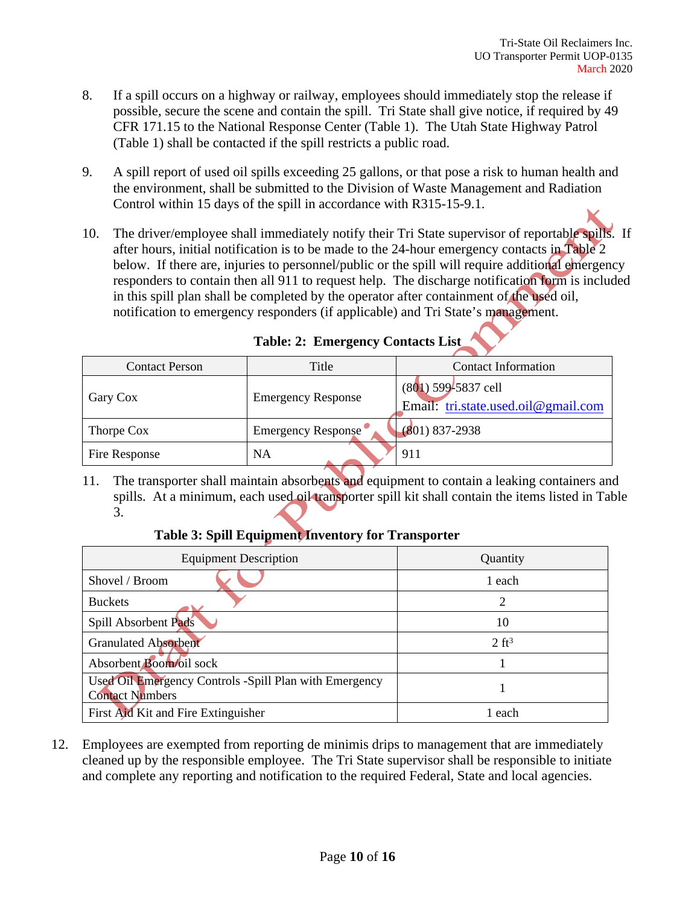- 8. If a spill occurs on a highway or railway, employees should immediately stop the release if possible, secure the scene and contain the spill. Tri State shall give notice, if required by 49 CFR 171.15 to the National Response Center (Table 1). The Utah State Highway Patrol (Table 1) shall be contacted if the spill restricts a public road.
- 9. A spill report of used oil spills exceeding 25 gallons, or that pose a risk to human health and the environment, shall be submitted to the Division of Waste Management and Radiation Control within 15 days of the spill in accordance with R315-15-9.1.
- 10. The driver/employee shall immediately notify their Tri State supervisor of reportable spills. If after hours, initial notification is to be made to the 24-hour emergency contacts in Table 2 below. If there are, injuries to personnel/public or the spill will require additional emergency responders to contain then all 911 to request help. The discharge notification form is included in this spill plan shall be completed by the operator after containment of the used oil, notification to emergency responders (if applicable) and Tri State's management.

| <b>Contact Person</b> | Title                     | <b>Contact Information</b>                                   |
|-----------------------|---------------------------|--------------------------------------------------------------|
| Gary Cox              | <b>Emergency Response</b> | $(801)$ 599-5837 cell<br>Email: tri.state.used.oil@gmail.com |
| Thorpe Cox            | Emergency Response        | $(801) 837 - 2938$                                           |
| Fire Response         | <b>NA</b>                 | 911                                                          |

# **Table: 2: Emergency Contacts List**

11. The transporter shall maintain absorbents and equipment to contain a leaking containers and spills. At a minimum, each used oil transporter spill kit shall contain the items listed in Table 3.

# **Table 3: Spill Equipment Inventory for Transporter**

| <b>Equipment Description</b>                                                     | Quantity         |
|----------------------------------------------------------------------------------|------------------|
| Shovel / Broom                                                                   | 1 each           |
| <b>Buckets</b>                                                                   | 2                |
| Spill Absorbent Pads                                                             | 10               |
| <b>Granulated Absorbent</b>                                                      | $2 \text{ ft}^3$ |
| Absorbent Boom/oil sock                                                          |                  |
| Used Oil Emergency Controls -Spill Plan with Emergency<br><b>Contact Numbers</b> |                  |
| First Aid Kit and Fire Extinguisher                                              | 1 each           |

12. Employees are exempted from reporting de minimis drips to management that are immediately cleaned up by the responsible employee. The Tri State supervisor shall be responsible to initiate and complete any reporting and notification to the required Federal, State and local agencies.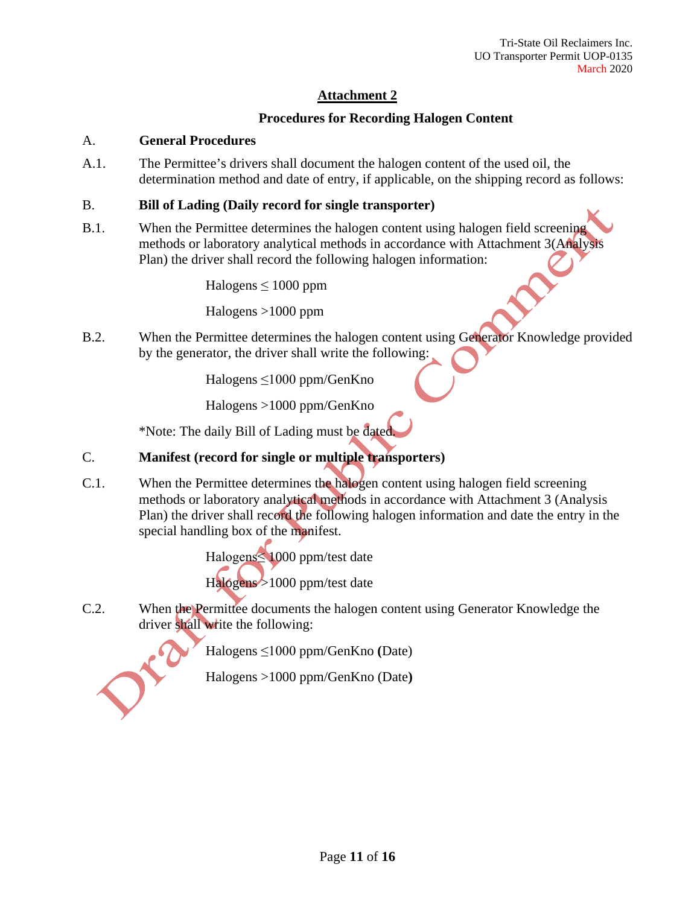# **Procedures for Recording Halogen Content**

# A. **General Procedures**

A.1. The Permittee's drivers shall document the halogen content of the used oil, the determination method and date of entry, if applicable, on the shipping record as follows:

#### B. **Bill of Lading (Daily record for single transporter)**

B.1. When the Permittee determines the halogen content using halogen field screening methods or laboratory analytical methods in accordance with Attachment 3(Analysis Plan) the driver shall record the following halogen information:

Halogens ≤ 1000 ppm

Halogens >1000 ppm

B.2. When the Permittee determines the halogen content using Generator Knowledge provided by the generator, the driver shall write the following:

Halogens ≤1000 ppm/GenKno

Halogens >1000 ppm/GenKno

\*Note: The daily Bill of Lading must be dated.

# C. **Manifest (record for single or multiple transporters)**

C.1. When the Permittee determines the halogen content using halogen field screening methods or laboratory analytical methods in accordance with Attachment 3 (Analysis Plan) the driver shall record the following halogen information and date the entry in the special handling box of the manifest.

> Halogens≤ 1000 ppm/test date Halogens >1000 ppm/test date

C.2. When the Permittee documents the halogen content using Generator Knowledge the driver shall write the following:

Halogens ≤1000 ppm/GenKno **(**Date)

Halogens >1000 ppm/GenKno (Date**)**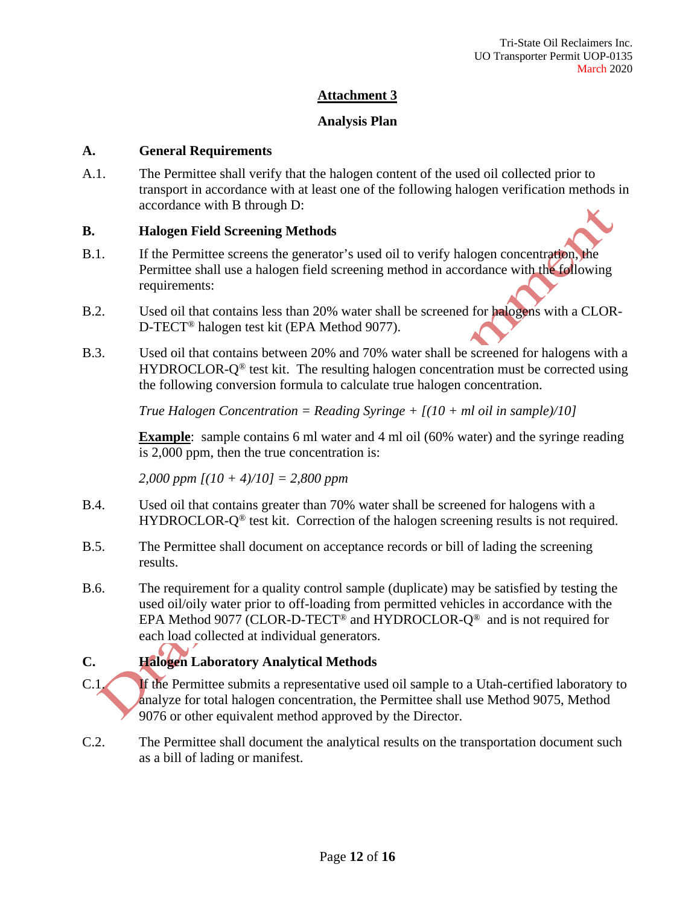#### **Analysis Plan**

#### **A. General Requirements**

A.1. The Permittee shall verify that the halogen content of the used oil collected prior to transport in accordance with at least one of the following halogen verification methods in accordance with B through D:

#### **B. Halogen Field Screening Methods**

- B.1. If the Permittee screens the generator's used oil to verify halogen concentration, the Permittee shall use a halogen field screening method in accordance with the following requirements:
- B.2. Used oil that contains less than 20% water shall be screened for halogens with a CLOR-D-TECT® halogen test kit (EPA Method 9077).
- B.3. Used oil that contains between 20% and 70% water shall be screened for halogens with a  $HYDROCLOR-Q<sup>®</sup>$  test kit. The resulting halogen concentration must be corrected using the following conversion formula to calculate true halogen concentration.

*True Halogen Concentration = Reading Syringe + [(10 + ml oil in sample)/10]*

**Example**: sample contains 6 ml water and 4 ml oil (60% water) and the syringe reading is 2,000 ppm, then the true concentration is:

*2,000 ppm [(10 + 4)/10] = 2,800 ppm*

- B.4. Used oil that contains greater than 70% water shall be screened for halogens with a HYDROCLOR-Q<sup>®</sup> test kit. Correction of the halogen screening results is not required.
- B.5. The Permittee shall document on acceptance records or bill of lading the screening results.
- B.6. The requirement for a quality control sample (duplicate) may be satisfied by testing the used oil/oily water prior to off-loading from permitted vehicles in accordance with the EPA Method 9077 (CLOR-D-TECT<sup>®</sup> and HYDROCLOR- $Q^{\circledast}$  and is not required for each load collected at individual generators.

# **C. Halogen Laboratory Analytical Methods**

- C.1. If the Permittee submits a representative used oil sample to a Utah-certified laboratory to analyze for total halogen concentration, the Permittee shall use Method 9075, Method 9076 or other equivalent method approved by the Director.
- C.2. The Permittee shall document the analytical results on the transportation document such as a bill of lading or manifest.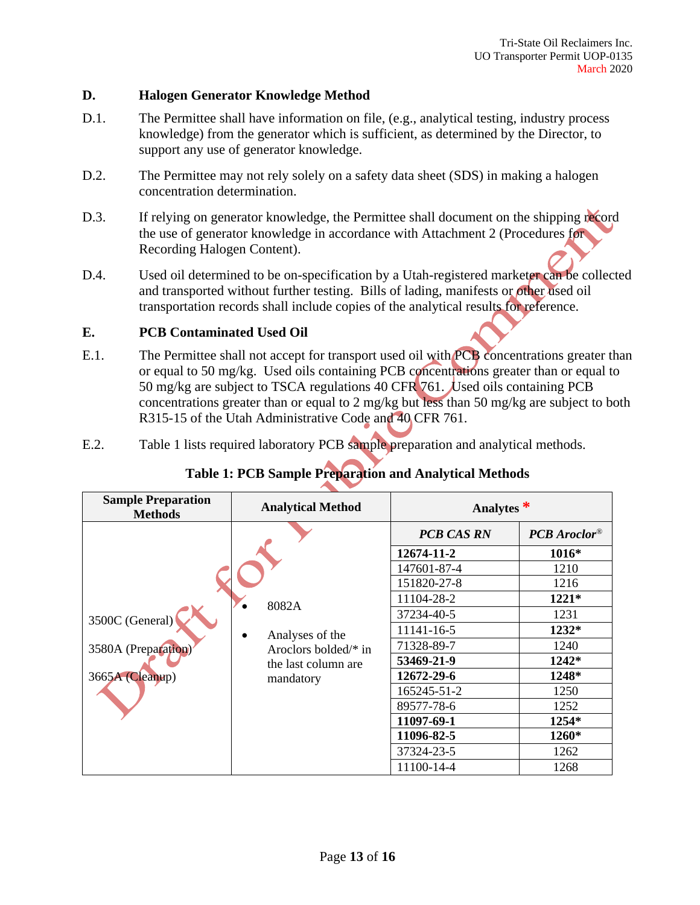#### **D. Halogen Generator Knowledge Method**

- D.1. The Permittee shall have information on file, (e.g., analytical testing, industry process knowledge) from the generator which is sufficient, as determined by the Director, to support any use of generator knowledge.
- D.2. The Permittee may not rely solely on a safety data sheet (SDS) in making a halogen concentration determination.
- D.3. If relying on generator knowledge, the Permittee shall document on the shipping record the use of generator knowledge in accordance with Attachment 2 (Procedures for Recording Halogen Content).
- D.4. Used oil determined to be on-specification by a Utah-registered marketer can be collected and transported without further testing. Bills of lading, manifests or other used oil transportation records shall include copies of the analytical results for reference.

# **E. PCB Contaminated Used Oil**

- E.1. The Permittee shall not accept for transport used oil with **PCB** concentrations greater than or equal to 50 mg/kg. Used oils containing PCB concentrations greater than or equal to 50 mg/kg are subject to TSCA regulations 40 CFR 761. Used oils containing PCB concentrations greater than or equal to 2 mg/kg but less than 50 mg/kg are subject to both R315-15 of the Utah Administrative Code and 40 CFR 761.
- E.2. Table 1 lists required laboratory PCB sample preparation and analytical methods.

|  |  | Table 1: PCB Sample Preparation and Analytical Methods |  |
|--|--|--------------------------------------------------------|--|
|--|--|--------------------------------------------------------|--|

| <b>Sample Preparation</b><br><b>Methods</b> | <b>Analytical Method</b>         | Analytes $*$      |                |
|---------------------------------------------|----------------------------------|-------------------|----------------|
| 3500C (General)                             | 8082A<br>Analyses of the         | <b>PCB CAS RN</b> | $PCB$ Aroclor® |
|                                             |                                  | 12674-11-2        | $1016*$        |
|                                             |                                  | 147601-87-4       | 1210           |
|                                             |                                  | 151820-27-8       | 1216           |
|                                             |                                  | 11104-28-2        | $1221*$        |
|                                             |                                  | 37234-40-5        | 1231           |
|                                             |                                  | 11141-16-5        | 1232*          |
| 3580A (Preparation)                         | Aroclors bolded $/*$ in          | 71328-89-7        | 1240           |
|                                             | the last column are<br>mandatory | 53469-21-9        | 1242*          |
| 3665A (Cleanup)                             |                                  | 12672-29-6        | 1248*          |
|                                             |                                  | 165245-51-2       | 1250           |
|                                             |                                  | 89577-78-6        | 1252           |
|                                             |                                  | 11097-69-1        | 1254*          |
|                                             |                                  | 11096-82-5        | <b>1260*</b>   |
|                                             |                                  | 37324-23-5        | 1262           |
|                                             |                                  | 11100-14-4        | 1268           |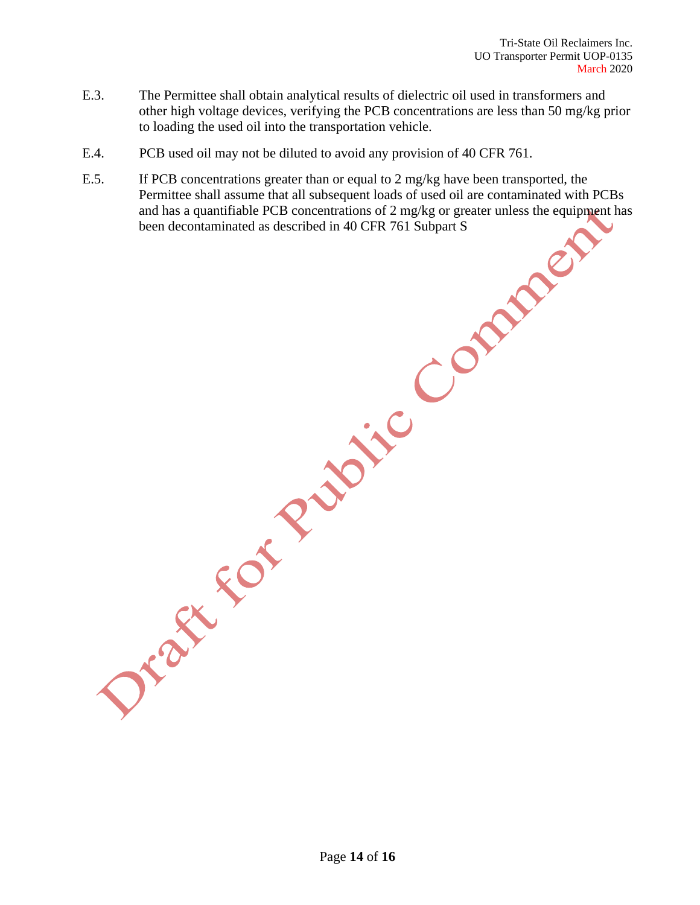- E.3. The Permittee shall obtain analytical results of dielectric oil used in transformers and other high voltage devices, verifying the PCB concentrations are less than 50 mg/kg prior to loading the used oil into the transportation vehicle.
- E.4. PCB used oil may not be diluted to avoid any provision of 40 CFR 761.
- E.5. If PCB concentrations greater than or equal to 2 mg/kg have been transported, the Permittee shall assume that all subsequent loads of used oil are contaminated with PCBs and has a quantifiable PCB concentrations of 2 mg/kg or greater unless the equipment has been decontaminated as described in 40 CFR 761 Subpart S

Page **14** of **16**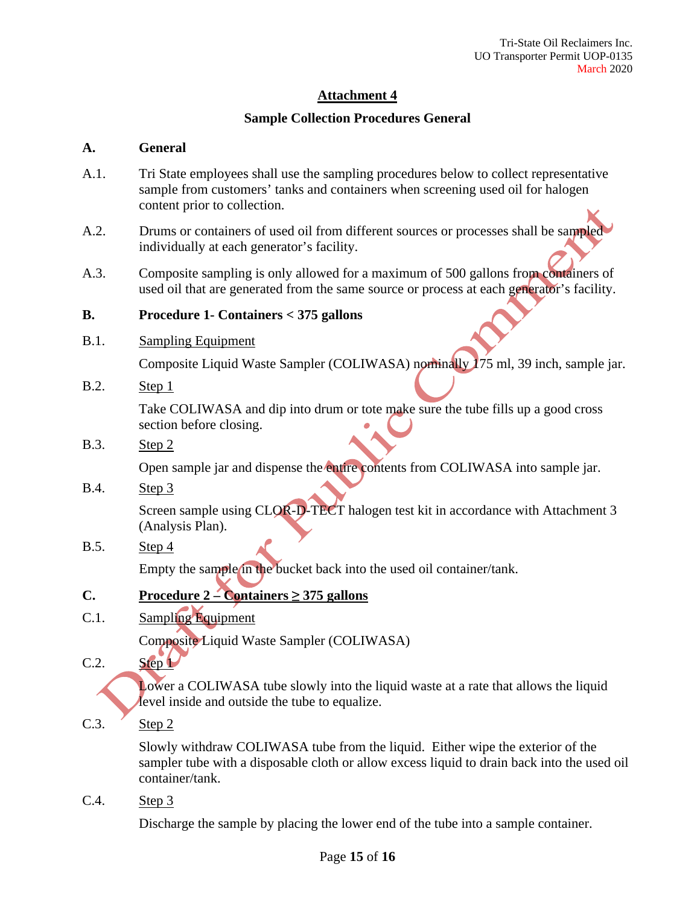# **Sample Collection Procedures General**

#### **A. General**

- A.1. Tri State employees shall use the sampling procedures below to collect representative sample from customers' tanks and containers when screening used oil for halogen content prior to collection.
- A.2. Drums or containers of used oil from different sources or processes shall be sampled individually at each generator's facility.
- A.3. Composite sampling is only allowed for a maximum of 500 gallons from containers of used oil that are generated from the same source or process at each generator's facility.

#### **B. Procedure 1- Containers < 375 gallons**

B.1. Sampling Equipment

Composite Liquid Waste Sampler (COLIWASA) nominally 175 ml, 39 inch, sample jar.

B.2. Step 1

Take COLIWASA and dip into drum or tote make sure the tube fills up a good cross section before closing.

B.3. Step 2

Open sample jar and dispense the entire contents from COLIWASA into sample jar.

B.4. Step 3

Screen sample using CLOR-D-TECT halogen test kit in accordance with Attachment 3 (Analysis Plan).

B.5. Step 4

Empty the sample in the bucket back into the used oil container/tank.

# **C.** Procedure  $2 -$ **Containers**  $\geq$  375 gallons

C.1. Sampling Equipment

Composite Liquid Waste Sampler (COLIWASA)

 $C.2.$  Step  $\mathbf{L}$ 

Lower a COLIWASA tube slowly into the liquid waste at a rate that allows the liquid level inside and outside the tube to equalize.

C.3. Step 2

Slowly withdraw COLIWASA tube from the liquid. Either wipe the exterior of the sampler tube with a disposable cloth or allow excess liquid to drain back into the used oil container/tank.

C.4. Step 3

Discharge the sample by placing the lower end of the tube into a sample container.